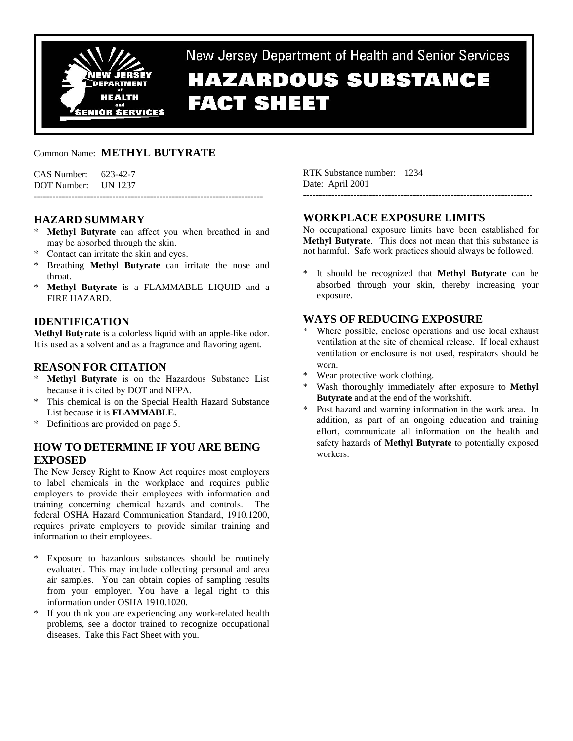

New Jersey Department of Health and Senior Services

# **HAZARDOUS SUBSTANCE FACT SHEET**

# Common Name: **METHYL BUTYRATE**

## **HAZARD SUMMARY**

- **Methyl Butyrate** can affect you when breathed in and may be absorbed through the skin.
- Contact can irritate the skin and eyes.
- Breathing **Methyl Butyrate** can irritate the nose and throat.
- \* **Methyl Butyrate** is a FLAMMABLE LIQUID and a FIRE HAZARD.

# **IDENTIFICATION**

**Methyl Butyrate** is a colorless liquid with an apple-like odor. It is used as a solvent and as a fragrance and flavoring agent.

# **REASON FOR CITATION**

- **Methyl Butyrate** is on the Hazardous Substance List because it is cited by DOT and NFPA.
- \* This chemical is on the Special Health Hazard Substance List because it is **FLAMMABLE**.
- Definitions are provided on page 5.

# **HOW TO DETERMINE IF YOU ARE BEING EXPOSED**

The New Jersey Right to Know Act requires most employers to label chemicals in the workplace and requires public employers to provide their employees with information and training concerning chemical hazards and controls. The federal OSHA Hazard Communication Standard, 1910.1200, requires private employers to provide similar training and information to their employees.

- Exposure to hazardous substances should be routinely evaluated. This may include collecting personal and area air samples. You can obtain copies of sampling results from your employer. You have a legal right to this information under OSHA 1910.1020.
- \* If you think you are experiencing any work-related health problems, see a doctor trained to recognize occupational diseases. Take this Fact Sheet with you.

RTK Substance number: 1234 Date: April 2001

## **WORKPLACE EXPOSURE LIMITS**

No occupational exposure limits have been established for **Methyl Butyrate**. This does not mean that this substance is not harmful. Safe work practices should always be followed.

-------------------------------------------------------------------------

\* It should be recognized that **Methyl Butyrate** can be absorbed through your skin, thereby increasing your exposure.

## **WAYS OF REDUCING EXPOSURE**

- Where possible, enclose operations and use local exhaust ventilation at the site of chemical release. If local exhaust ventilation or enclosure is not used, respirators should be worn.
- Wear protective work clothing.
- Wash thoroughly immediately after exposure to **Methyl Butyrate** and at the end of the workshift.
- Post hazard and warning information in the work area. In addition, as part of an ongoing education and training effort, communicate all information on the health and safety hazards of **Methyl Butyrate** to potentially exposed workers.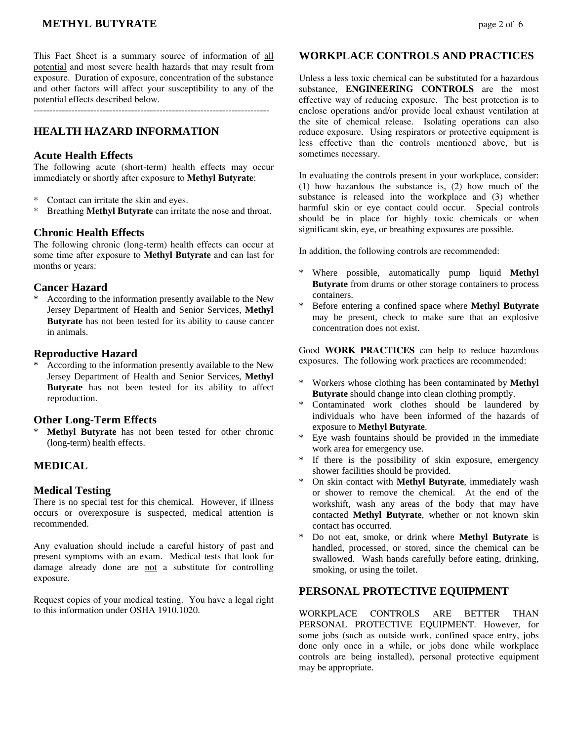# **METHYL BUTYRATE** page 2 of 6

This Fact Sheet is a summary source of information of all potential and most severe health hazards that may result from exposure. Duration of exposure, concentration of the substance and other factors will affect your susceptibility to any of the potential effects described below.

---------------------------------------------------------------------------

## **HEALTH HAZARD INFORMATION**

#### **Acute Health Effects**

The following acute (short-term) health effects may occur immediately or shortly after exposure to **Methyl Butyrate**:

- \* Contact can irritate the skin and eyes.
- \* Breathing **Methyl Butyrate** can irritate the nose and throat.

#### **Chronic Health Effects**

The following chronic (long-term) health effects can occur at some time after exposure to **Methyl Butyrate** and can last for months or years:

## **Cancer Hazard**

According to the information presently available to the New Jersey Department of Health and Senior Services, **Methyl Butyrate** has not been tested for its ability to cause cancer in animals.

#### **Reproductive Hazard**

According to the information presently available to the New Jersey Department of Health and Senior Services, **Methyl Butyrate** has not been tested for its ability to affect reproduction.

#### **Other Long-Term Effects**

**Methyl Butyrate** has not been tested for other chronic (long-term) health effects.

## **MEDICAL**

#### **Medical Testing**

There is no special test for this chemical. However, if illness occurs or overexposure is suspected, medical attention is recommended.

Any evaluation should include a careful history of past and present symptoms with an exam. Medical tests that look for damage already done are not a substitute for controlling exposure.

Request copies of your medical testing. You have a legal right to this information under OSHA 1910.1020.

#### **WORKPLACE CONTROLS AND PRACTICES**

Unless a less toxic chemical can be substituted for a hazardous substance, **ENGINEERING CONTROLS** are the most effective way of reducing exposure. The best protection is to enclose operations and/or provide local exhaust ventilation at the site of chemical release. Isolating operations can also reduce exposure. Using respirators or protective equipment is less effective than the controls mentioned above, but is sometimes necessary.

In evaluating the controls present in your workplace, consider: (1) how hazardous the substance is, (2) how much of the substance is released into the workplace and (3) whether harmful skin or eye contact could occur. Special controls should be in place for highly toxic chemicals or when significant skin, eye, or breathing exposures are possible.

In addition, the following controls are recommended:

- \* Where possible, automatically pump liquid **Methyl Butyrate** from drums or other storage containers to process containers.
- \* Before entering a confined space where **Methyl Butyrate** may be present, check to make sure that an explosive concentration does not exist.

Good **WORK PRACTICES** can help to reduce hazardous exposures. The following work practices are recommended:

- \* Workers whose clothing has been contaminated by **Methyl Butyrate** should change into clean clothing promptly.
- Contaminated work clothes should be laundered by individuals who have been informed of the hazards of exposure to **Methyl Butyrate**.
- \* Eye wash fountains should be provided in the immediate work area for emergency use.
- \* If there is the possibility of skin exposure, emergency shower facilities should be provided.
- \* On skin contact with **Methyl Butyrate**, immediately wash or shower to remove the chemical. At the end of the workshift, wash any areas of the body that may have contacted **Methyl Butyrate**, whether or not known skin contact has occurred.
- \* Do not eat, smoke, or drink where **Methyl Butyrate** is handled, processed, or stored, since the chemical can be swallowed. Wash hands carefully before eating, drinking, smoking, or using the toilet.

## **PERSONAL PROTECTIVE EQUIPMENT**

WORKPLACE CONTROLS ARE BETTER THAN PERSONAL PROTECTIVE EQUIPMENT. However, for some jobs (such as outside work, confined space entry, jobs done only once in a while, or jobs done while workplace controls are being installed), personal protective equipment may be appropriate.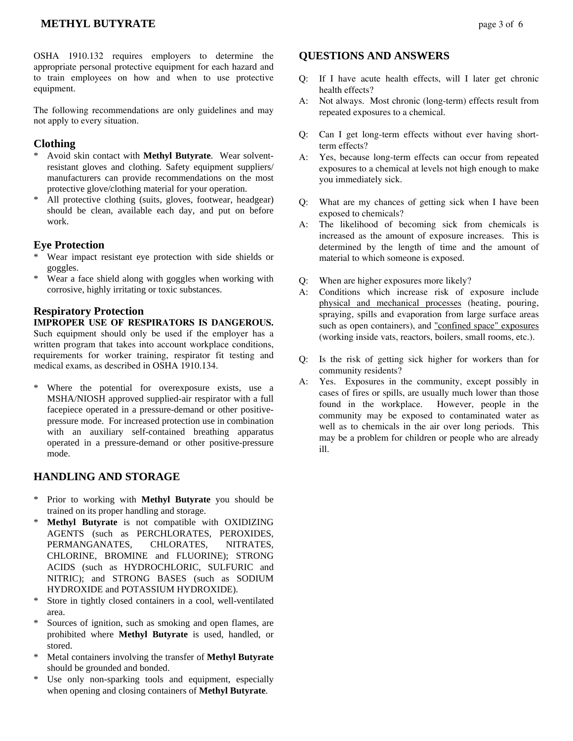# **METHYL BUTYRATE** page 3 of 6

OSHA 1910.132 requires employers to determine the appropriate personal protective equipment for each hazard and to train employees on how and when to use protective equipment.

The following recommendations are only guidelines and may not apply to every situation.

## **Clothing**

- \* Avoid skin contact with **Methyl Butyrate**. Wear solventresistant gloves and clothing. Safety equipment suppliers/ manufacturers can provide recommendations on the most protective glove/clothing material for your operation.
- \* All protective clothing (suits, gloves, footwear, headgear) should be clean, available each day, and put on before work.

#### **Eye Protection**

- Wear impact resistant eye protection with side shields or goggles.
- \* Wear a face shield along with goggles when working with corrosive, highly irritating or toxic substances.

## **Respiratory Protection**

#### **IMPROPER USE OF RESPIRATORS IS DANGEROUS.** Such equipment should only be used if the employer has a written program that takes into account workplace conditions, requirements for worker training, respirator fit testing and medical exams, as described in OSHA 1910.134.

\* Where the potential for overexposure exists, use a MSHA/NIOSH approved supplied-air respirator with a full facepiece operated in a pressure-demand or other positivepressure mode. For increased protection use in combination with an auxiliary self-contained breathing apparatus operated in a pressure-demand or other positive-pressure mode.

## **HANDLING AND STORAGE**

- \* Prior to working with **Methyl Butyrate** you should be trained on its proper handling and storage.
- **Methyl Butyrate** is not compatible with OXIDIZING AGENTS (such as PERCHLORATES, PEROXIDES, PERMANGANATES, CHLORATES, NITRATES, CHLORINE, BROMINE and FLUORINE); STRONG ACIDS (such as HYDROCHLORIC, SULFURIC and NITRIC); and STRONG BASES (such as SODIUM HYDROXIDE and POTASSIUM HYDROXIDE).
- Store in tightly closed containers in a cool, well-ventilated area.
- Sources of ignition, such as smoking and open flames, are prohibited where **Methyl Butyrate** is used, handled, or stored.
- \* Metal containers involving the transfer of **Methyl Butyrate** should be grounded and bonded.
- Use only non-sparking tools and equipment, especially when opening and closing containers of **Methyl Butyrate**.

#### **QUESTIONS AND ANSWERS**

- Q: If I have acute health effects, will I later get chronic health effects?
- A: Not always. Most chronic (long-term) effects result from repeated exposures to a chemical.
- Q: Can I get long-term effects without ever having shortterm effects?
- A: Yes, because long-term effects can occur from repeated exposures to a chemical at levels not high enough to make you immediately sick.
- Q: What are my chances of getting sick when I have been exposed to chemicals?
- A: The likelihood of becoming sick from chemicals is increased as the amount of exposure increases. This is determined by the length of time and the amount of material to which someone is exposed.
- Q: When are higher exposures more likely?
- A: Conditions which increase risk of exposure include physical and mechanical processes (heating, pouring, spraying, spills and evaporation from large surface areas such as open containers), and "confined space" exposures (working inside vats, reactors, boilers, small rooms, etc.).
- Q: Is the risk of getting sick higher for workers than for community residents?
- A: Yes. Exposures in the community, except possibly in cases of fires or spills, are usually much lower than those found in the workplace. However, people in the community may be exposed to contaminated water as well as to chemicals in the air over long periods. This may be a problem for children or people who are already ill.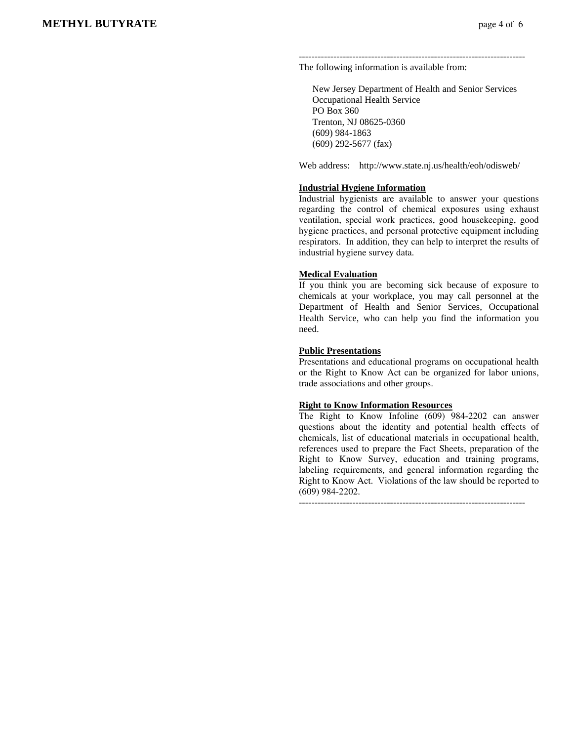------------------------------------------------------------------------ The following information is available from:

 New Jersey Department of Health and Senior Services Occupational Health Service PO Box 360 Trenton, NJ 08625-0360 (609) 984-1863 (609) 292-5677 (fax)

Web address: http://www.state.nj.us/health/eoh/odisweb/

#### **Industrial Hygiene Information**

Industrial hygienists are available to answer your questions regarding the control of chemical exposures using exhaust ventilation, special work practices, good housekeeping, good hygiene practices, and personal protective equipment including respirators. In addition, they can help to interpret the results of industrial hygiene survey data.

#### **Medical Evaluation**

If you think you are becoming sick because of exposure to chemicals at your workplace, you may call personnel at the Department of Health and Senior Services, Occupational Health Service, who can help you find the information you need.

#### **Public Presentations**

Presentations and educational programs on occupational health or the Right to Know Act can be organized for labor unions, trade associations and other groups.

#### **Right to Know Information Resources**

The Right to Know Infoline (609) 984-2202 can answer questions about the identity and potential health effects of chemicals, list of educational materials in occupational health, references used to prepare the Fact Sheets, preparation of the Right to Know Survey, education and training programs, labeling requirements, and general information regarding the Right to Know Act. Violations of the law should be reported to (609) 984-2202.

------------------------------------------------------------------------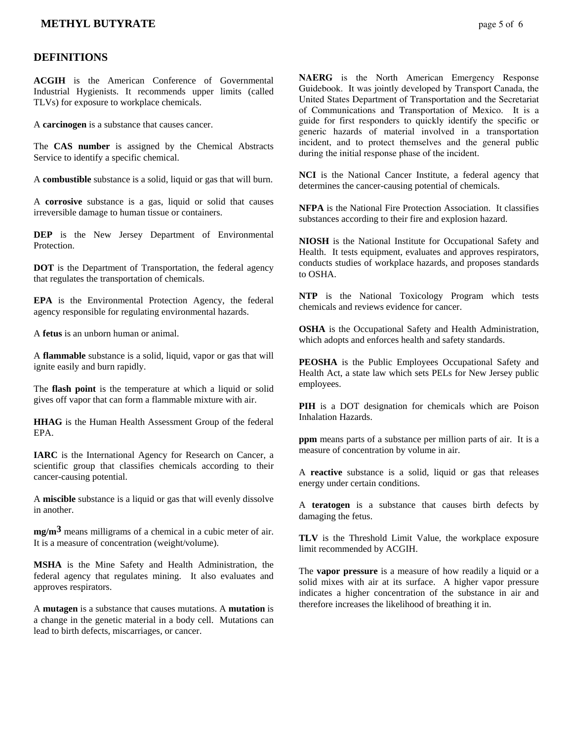## **METHYL BUTYRATE** page 5 of 6

#### **DEFINITIONS**

**ACGIH** is the American Conference of Governmental Industrial Hygienists. It recommends upper limits (called TLVs) for exposure to workplace chemicals.

A **carcinogen** is a substance that causes cancer.

The **CAS number** is assigned by the Chemical Abstracts Service to identify a specific chemical.

A **combustible** substance is a solid, liquid or gas that will burn.

A **corrosive** substance is a gas, liquid or solid that causes irreversible damage to human tissue or containers.

**DEP** is the New Jersey Department of Environmental **Protection** 

**DOT** is the Department of Transportation, the federal agency that regulates the transportation of chemicals.

**EPA** is the Environmental Protection Agency, the federal agency responsible for regulating environmental hazards.

A **fetus** is an unborn human or animal.

A **flammable** substance is a solid, liquid, vapor or gas that will ignite easily and burn rapidly.

The **flash point** is the temperature at which a liquid or solid gives off vapor that can form a flammable mixture with air.

**HHAG** is the Human Health Assessment Group of the federal EPA.

**IARC** is the International Agency for Research on Cancer, a scientific group that classifies chemicals according to their cancer-causing potential.

A **miscible** substance is a liquid or gas that will evenly dissolve in another.

**mg/m3** means milligrams of a chemical in a cubic meter of air. It is a measure of concentration (weight/volume).

**MSHA** is the Mine Safety and Health Administration, the federal agency that regulates mining. It also evaluates and approves respirators.

A **mutagen** is a substance that causes mutations. A **mutation** is a change in the genetic material in a body cell. Mutations can lead to birth defects, miscarriages, or cancer.

**NAERG** is the North American Emergency Response Guidebook. It was jointly developed by Transport Canada, the United States Department of Transportation and the Secretariat of Communications and Transportation of Mexico. It is a guide for first responders to quickly identify the specific or generic hazards of material involved in a transportation incident, and to protect themselves and the general public during the initial response phase of the incident.

**NCI** is the National Cancer Institute, a federal agency that determines the cancer-causing potential of chemicals.

**NFPA** is the National Fire Protection Association. It classifies substances according to their fire and explosion hazard.

**NIOSH** is the National Institute for Occupational Safety and Health. It tests equipment, evaluates and approves respirators, conducts studies of workplace hazards, and proposes standards to OSHA.

**NTP** is the National Toxicology Program which tests chemicals and reviews evidence for cancer.

**OSHA** is the Occupational Safety and Health Administration, which adopts and enforces health and safety standards.

**PEOSHA** is the Public Employees Occupational Safety and Health Act, a state law which sets PELs for New Jersey public employees.

**PIH** is a DOT designation for chemicals which are Poison Inhalation Hazards.

**ppm** means parts of a substance per million parts of air. It is a measure of concentration by volume in air.

A **reactive** substance is a solid, liquid or gas that releases energy under certain conditions.

A **teratogen** is a substance that causes birth defects by damaging the fetus.

**TLV** is the Threshold Limit Value, the workplace exposure limit recommended by ACGIH.

The **vapor pressure** is a measure of how readily a liquid or a solid mixes with air at its surface. A higher vapor pressure indicates a higher concentration of the substance in air and therefore increases the likelihood of breathing it in.